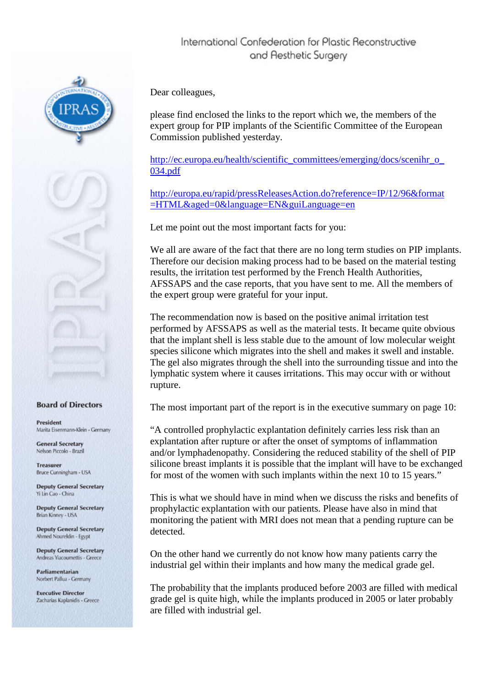

## **Board of Directors**

President Marita Eisenmann-Klein - Germany

**General Secretary** Nelson Piccolo - Brazil

**Treasurer** Bruce Cunningham - USA

**Deputy General Secretary** Yi Lin Cao - China

**Deputy General Secretary** Brian Kinney - USA

**Deputy General Secretary** Ahmed Noureldin - Egypt

**Deputy General Secretary** Andreas Yiacoumettis - Greec

Parliamentarian Norbert Pallua - Germany

**Executive Director** Zacharias Kaplanidis - Greece Dear colleagues,

please find enclosed the links to the report which we, the members of the expert group for PIP implants of the Scientific Committee of the European Commission published yesterday.

[http://ec.europa.eu/health/scientific\\_committees/emerging/docs/scenihr\\_o\\_](http://www.enewsletters.travel/link.php?M=999144&N=462&L=10687&F=H) [034.pdf](http://www.enewsletters.travel/link.php?M=999144&N=462&L=10687&F=H)

[http://europa.eu/rapid/pressReleasesAction.do?reference=IP/12/96&format](http://www.enewsletters.travel/link.php?M=999144&N=462&L=10686&F=H) [=HTML&aged=0&language=EN&guiLanguage=en](http://www.enewsletters.travel/link.php?M=999144&N=462&L=10686&F=H)

Let me point out the most important facts for you:

We all are aware of the fact that there are no long term studies on PIP implants. Therefore our decision making process had to be based on the material testing results, the irritation test performed by the French Health Authorities, AFSSAPS and the case reports, that you have sent to me. All the members of the expert group were grateful for your input.

The recommendation now is based on the positive animal irritation test performed by AFSSAPS as well as the material tests. It became quite obvious that the implant shell is less stable due to the amount of low molecular weight species silicone which migrates into the shell and makes it swell and instable. The gel also migrates through the shell into the surrounding tissue and into the lymphatic system where it causes irritations. This may occur with or without rupture.

The most important part of the report is in the executive summary on page 10:

"A controlled prophylactic explantation definitely carries less risk than an explantation after rupture or after the onset of symptoms of inflammation and/or lymphadenopathy. Considering the reduced stability of the shell of PIP silicone breast implants it is possible that the implant will have to be exchanged for most of the women with such implants within the next 10 to 15 years."

This is what we should have in mind when we discuss the risks and benefits of prophylactic explantation with our patients. Please have also in mind that monitoring the patient with MRI does not mean that a pending rupture can be detected.

On the other hand we currently do not know how many patients carry the industrial gel within their implants and how many the medical grade gel.

The probability that the implants produced before 2003 are filled with medical grade gel is quite high, while the implants produced in 2005 or later probably are filled with industrial gel.